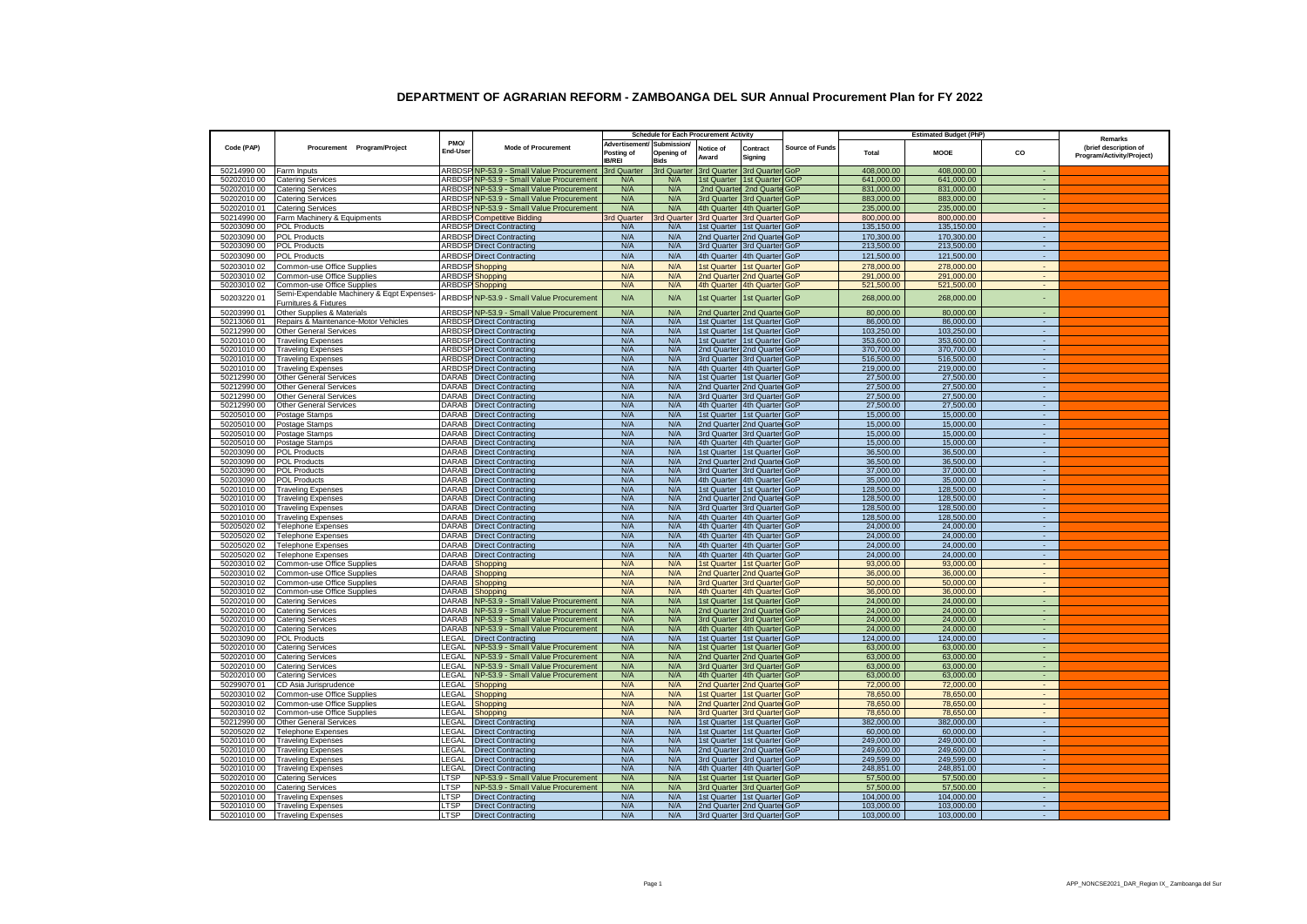|                            |                                                                     |                            |                                                        | <b>Schedule for Each Procurement Activity</b>             |                           |                                         |                                                            |                        | <b>Estimated Budget (PhP)</b> |                          |                             |                                                               |
|----------------------------|---------------------------------------------------------------------|----------------------------|--------------------------------------------------------|-----------------------------------------------------------|---------------------------|-----------------------------------------|------------------------------------------------------------|------------------------|-------------------------------|--------------------------|-----------------------------|---------------------------------------------------------------|
| Code (PAP)                 | Procurement Program/Project                                         | PMO/<br>End-Use            | <b>Mode of Procurement</b>                             | Advertisement/ Submission/<br>Posting of<br><b>IB/REI</b> | Opening of<br><b>Bids</b> | Notice of<br>Award                      | Contract<br>Signing                                        | <b>Source of Funds</b> | Total                         | <b>MOOE</b>              | CO                          | Remarks<br>(brief description of<br>Program/Activity/Project) |
| 50214990 00                | Farm Inputs                                                         |                            | ARBDSP NP-53.9 - Small Value Procurement 3rd Quarter   |                                                           |                           | 3rd Quarter 3rd Quarter 3rd Quarter GoP |                                                            |                        | 408,000.00                    | 408,000.00               | $\sim$                      |                                                               |
| 50202010 00                | <b>Catering Services</b>                                            |                            | ARBDSP NP-53.9 - Small Value Procurement               | N/A                                                       | N/A                       | 1st Quarter 1st Quarter GOP             |                                                            |                        | 641,000.00                    | 641,000.00               | $\sim$                      |                                                               |
| 50202010 00                | <b>Catering Services</b>                                            |                            | ARBDSP NP-53.9 - Small Value Procurement               | N/A                                                       | N/A                       |                                         | 2nd Quarter 2nd Quarte GoP                                 |                        | 831,000.00                    | 831,000.00               | $\sim$                      |                                                               |
| 50202010 00                | <b>Catering Services</b>                                            |                            | ARBDSP NP-53.9 - Small Value Procurement               | N/A                                                       | N/A                       | 3rd Quarter 3rd Quarter GoP             |                                                            |                        | 883,000.00                    | 883,000.00               | <b>A</b>                    |                                                               |
| 50202010 01                | <b>Catering Services</b>                                            |                            | ARBDSP NP-53.9 - Small Value Procurement               | N/A                                                       | N/A                       | 4th Quarter 4th Quarter GoP             |                                                            |                        | 235,000.00                    | 235,000.00               | ÷.                          |                                                               |
| 50214990 00                | Farm Machinery & Equipments                                         |                            | <b>ARBDSP</b> Competitive Bidding                      | 3rd Quarter                                               | 3rd Quarter               | 3rd Quarter 3rd Quarter GoP             |                                                            |                        | 800,000.00                    | 800,000.00               | $\sim$                      |                                                               |
| 50203090 00                | <b>POL Products</b>                                                 |                            | <b>ARBDSP Direct Contracting</b>                       | N/A                                                       | N/A                       | 1st Quarter 1st Quarter GoP             |                                                            |                        | 135.150.00                    | 135.150.00               |                             |                                                               |
| 50203090 00                | <b>POL Products</b>                                                 |                            | <b>ARBDSP Direct Contracting</b>                       | N/A                                                       | N/A                       | 2nd Quarter 2nd Quarter GoP             |                                                            |                        | 170,300,00                    | 170.300.00               |                             |                                                               |
| 50203090 00                | <b>POL Products</b>                                                 |                            | <b>ARBDSP Direct Contracting</b>                       | N/A                                                       | N/A                       |                                         | 3rd Quarter 3rd Quarter GoP                                |                        | 213,500.00                    | 213,500.00               |                             |                                                               |
| 50203090 00                | <b>POL Products</b>                                                 |                            | <b>ARBDSP</b> Direct Contracting                       | N/A                                                       | N/A                       | 4th Quarter 4th Quarter GoP             |                                                            |                        | 121,500.00                    | 121,500.00               | $\sim$                      |                                                               |
| 50203010 02                | Common-use Office Supplies                                          |                            | ARBDSP Shopping                                        | N/A                                                       | N/A                       |                                         | 1st Quarter 1st Quarter GoP                                |                        | 278,000,00                    | 278,000,00               | $\sim$                      |                                                               |
| 50203010 02                | Common-use Office Supplies                                          |                            | <b>ARBDSP</b> Shopping                                 | N/A                                                       | N/A                       |                                         | 2nd Quarter 2nd Quarter GoP                                |                        | 291,000.00                    | 291,000.00               | $\sim$                      |                                                               |
| 50203010 02                | Common-use Office Supplies                                          |                            | <b>ARBDSP</b> Shopping                                 | N/A                                                       | N/A                       | 4th Quarter 4th Quarter GoP             |                                                            |                        | 521,500.00                    | 521,500.00               | $\blacksquare$              |                                                               |
| 50203220 01                | Semi-Expendable Machinery & Eqpt Expenses-<br>Furnitures & Fixtures |                            | ARBDSP NP-53.9 - Small Value Procurement               | N/A                                                       | N/A                       | 1st Quarter   1st Quarter   GoP         |                                                            |                        | 268,000.00                    | 268,000.00               | $\sim$                      |                                                               |
| 50203990 01                | Other Supplies & Materials                                          |                            | ARBDSP NP-53.9 - Small Value Procurement               | N/A                                                       | N/A                       | 2nd Quarter 2nd Quarter GoP             |                                                            |                        | 80,000.00                     | 80,000.00                | $\mathcal{L}_{\mathcal{A}}$ |                                                               |
| 50213060 01                | Repairs & Maintenance-Motor Vehicles                                |                            | <b>ARBDSP Direct Contracting</b>                       | N/A                                                       | N/A                       | 1st Quarter   1st Quarter GoP           |                                                            |                        | 86,000.00                     | 86,000.00                | $\sim$                      |                                                               |
| 50212990 00                | <b>Other General Services</b>                                       |                            | <b>ARBDSP</b> Direct Contracting                       | N/A                                                       | N/A                       | 1st Quarter 1st Quarter GoP             |                                                            |                        | 103,250.00                    | 103,250.00               | $\sim$                      |                                                               |
| 50201010 00                | <b>Traveling Expenses</b>                                           |                            | <b>ARBDSP</b> Direct Contracting                       | N/A                                                       | N/A                       | 1st Quarter 1st Quarter GoP             |                                                            |                        | 353,600.00                    | 353,600.00               | $\sim$                      |                                                               |
| 50201010 00                | <b>Traveling Expenses</b>                                           |                            | <b>ARBDSP</b> Direct Contracting                       | N/A                                                       | N/A                       | 2nd Quarter 2nd Quarter GoP             |                                                            |                        | 370,700.00                    | 370,700.00               | $\sim$                      |                                                               |
| 50201010 00                | <b>Traveling Expenses</b>                                           |                            | <b>ARBDSP</b> Direct Contracting                       | N/A                                                       | N/A                       | 3rd Quarter 3rd Quarter GoP             |                                                            |                        | 516,500.00                    | 516,500.00               | $\sim$                      |                                                               |
| 50201010 00                | <b>Traveling Expenses</b>                                           |                            | <b>ARBDSP</b> Direct Contracting                       | N/A                                                       | N/A                       | 4th Quarter 4th Quarter GoP             |                                                            |                        | 219,000.00                    | 219,000.00               | $\sim$                      |                                                               |
| 50212990 00                | <b>Other General Services</b>                                       |                            | DARAB Direct Contracting                               | N/A                                                       | N/A                       | 1st Quarter 1st Quarter GoP             |                                                            |                        | 27,500.00                     | 27,500.00                | $\sim$                      |                                                               |
| 50212990 00                | <b>Other General Services</b>                                       |                            | DARAB Direct Contracting                               | N/A                                                       | N/A                       | 2nd Quarter 2nd Quarter GoP             |                                                            |                        | 27,500.00                     | 27,500.00                | $\sim$                      |                                                               |
| 50212990 00                | <b>Other General Services</b>                                       |                            | DARAB Direct Contracting                               | N/A                                                       | N/A                       |                                         | 3rd Quarter 3rd Quarter GoP                                |                        | 27,500.00                     | 27,500.00                | $\sim$                      |                                                               |
| 50212990 00                | <b>Other General Services</b>                                       |                            | DARAB Direct Contracting                               | N/A                                                       | N/A                       |                                         | 4th Quarter 4th Quarter GoP                                |                        | 27,500.00                     | 27,500.00                | $\sim$<br>$\sim$            |                                                               |
| 50205010 00<br>50205010 00 | Postage Stamps                                                      |                            | DARAB Direct Contracting<br>DARAB Direct Contracting   | N/A<br>N/A                                                | N/A<br>N/A                |                                         | 1st Quarter 1st Quarter GoP<br>2nd Quarter 2nd Quarter GoP |                        | 15,000.00<br>15,000.00        | 15,000.00<br>15.000.00   | $\sim$                      |                                                               |
| 50205010 00                | Postage Stamps<br>Postage Stamps                                    |                            | DARAB Direct Contracting                               | N/A                                                       | N/A                       |                                         | 3rd Quarter 3rd Quarter GoP                                |                        | 15,000.00                     | 15,000,00                | $\sim$                      |                                                               |
| 50205010 00                | Postage Stamps                                                      |                            | DARAB Direct Contracting                               | N/A                                                       | N/A                       |                                         | 4th Quarter 4th Quarter GoP                                |                        | 15,000.00                     | 15,000,00                | $\sim$                      |                                                               |
| 50203090 00                | <b>POL Products</b>                                                 |                            | DARAB Direct Contracting                               | N/A                                                       | N/A                       |                                         | 1st Quarter 1st Quarter GoP                                |                        | 36,500.00                     | 36,500.00                | $\sim$                      |                                                               |
| 50203090 00                | <b>POL Products</b>                                                 |                            | DARAB Direct Contracting                               | N/A                                                       | N/A                       |                                         | 2nd Quarter 2nd Quarter GoP                                |                        | 36,500.00                     | 36,500.00                | $\sim$                      |                                                               |
| 50203090 00                | <b>POL Products</b>                                                 |                            | DARAB Direct Contracting                               | N/A                                                       | N/A                       |                                         | 3rd Quarter 3rd Quarter GoP                                |                        | 37,000.00                     | 37,000.00                | $\sim$                      |                                                               |
| 50203090 00                | <b>POL Products</b>                                                 |                            | DARAB Direct Contracting                               | N/A                                                       | N/A                       |                                         | 4th Quarter 4th Quarter GoP                                |                        | 35,000.00                     | 35,000.00                | $\sim$                      |                                                               |
| 50201010 00                | <b>Traveling Expenses</b>                                           |                            | DARAB Direct Contracting                               | N/A                                                       | N/A                       |                                         | 1st Quarter 1st Quarter GoP                                |                        | 128,500.00                    | 128,500.00               | $\sim$                      |                                                               |
| 50201010 00                | <b>Traveling Expenses</b>                                           |                            | DARAB Direct Contracting                               | N/A                                                       | N/A                       | 2nd Quarter 2nd Quarter GoP             |                                                            |                        | 128,500.00                    | 128,500.00               | $\sim$                      |                                                               |
| 50201010 00                | <b>Traveling Expenses</b>                                           |                            | DARAB Direct Contracting                               | N/A                                                       | N/A                       | 3rd Quarter 3rd Quarter GoP             |                                                            |                        | 128,500.00                    | 128,500.00               | $\sim$                      |                                                               |
| 50201010 00                | <b>Traveling Expenses</b>                                           |                            | DARAB Direct Contracting                               | N/A                                                       | N/A                       | 4th Quarter 4th Quarter GoP             |                                                            |                        | 128,500.00                    | 128,500.00               | $\sim$                      |                                                               |
| 50205020 02                | Telephone Expenses                                                  |                            | DARAB Direct Contracting                               | N/A                                                       | N/A                       | 4th Quarter 4th Quarter GoP             |                                                            |                        | 24,000.00                     | 24,000.00                | ÷.                          |                                                               |
| 50205020 02                | <b>Telephone Expenses</b>                                           |                            | DARAB Direct Contracting                               | N/A                                                       | N/A                       | 4th Quarter 4th Quarter GoP             |                                                            |                        | 24,000.00                     | 24,000.00                | ÷.                          |                                                               |
| 50205020 02                | <b>Telephone Expenses</b>                                           |                            | DARAB Direct Contracting                               | N/A                                                       | N/A                       | 4th Quarter 4th Quarter GoP             |                                                            |                        | 24,000.00                     | 24,000.00                | ÷.                          |                                                               |
| 50205020 02                | <b>Telephone Expenses</b>                                           |                            | DARAB Direct Contracting                               | N/A                                                       | N/A                       | 4th Quarter 4th Quarter GoP             |                                                            |                        | 24,000.00                     | 24,000.00                | $\sim$                      |                                                               |
| 50203010 02                | Common-use Office Supplies                                          |                            | DARAB Shopping                                         | N/A                                                       | N/A                       | 1st Quarter 1st Quarter GoP             |                                                            |                        | 93,000.00                     | 93,000.00                | $\sim$                      |                                                               |
| 50203010 02                | Common-use Office Supplies                                          |                            | DARAB Shopping                                         | N/A                                                       | N/A                       | 2nd Quarter 2nd Quarter GoP             |                                                            |                        | 36,000.00                     | 36,000.00                | $\sim$                      |                                                               |
| 50203010 02                | Common-use Office Supplies                                          |                            | DARAB Shopping                                         | N/A                                                       | N/A                       | 3rd Quarter 3rd Quarter GoP             |                                                            |                        | 50,000.00                     | 50,000.00                | $\sim$                      |                                                               |
| 50203010 02                | Common-use Office Supplies                                          |                            | DARAB Shopping                                         | N/A                                                       | N/A                       | 4th Quarter 4th Quarter GoP             |                                                            |                        | 36,000.00                     | 36,000.00                | $\sim$                      |                                                               |
| 50202010 00                | <b>Catering Services</b>                                            |                            | DARAB NP-53.9 - Small Value Procurement                | N/A                                                       | N/A                       | 1st Quarter   1st Quarter   GoP         |                                                            |                        | 24,000.00                     | 24,000.00                | $\sim$                      |                                                               |
| 50202010 00                | <b>Catering Services</b>                                            |                            | DARAB NP-53.9 - Small Value Procurement                | N/A                                                       | N/A                       | 2nd Quarter 2nd Quarter GoP             |                                                            |                        | 24,000.00                     | 24,000.00                | $\sim$                      |                                                               |
| 50202010 00                | <b>Catering Services</b>                                            |                            | DARAB NP-53.9 - Small Value Procurement                | N/A                                                       | N/A                       | 3rd Quarter 3rd Quarter GoP             |                                                            |                        | 24.000.00                     | 24,000.00                | $\sim$                      |                                                               |
| 50202010 00                | <b>Catering Services</b>                                            |                            | DARAB NP-53.9 - Small Value Procurement                | N/A                                                       | N/A                       | 4th Quarter 4th Quarter GoP             |                                                            |                        | 24,000.00                     | 24,000.00                | ÷.                          |                                                               |
| 50203090 00                | POL Products                                                        | LEGAL                      | <b>Direct Contracting</b>                              | N/A                                                       | N/A                       | 1st Quarter 1st Quarter GoP             |                                                            |                        | 124,000.00                    | 124,000.00               | $\sim$                      |                                                               |
| 50202010 00                | <b>Catering Services</b>                                            | <b>EGAL</b>                | NP-53.9 - Small Value Procurement                      | N/A                                                       | N/A                       |                                         | 1st Quarter 1st Quarter GoP                                |                        | 63,000.00                     | 63,000.00                | ÷.                          |                                                               |
| 50202010 00                | <b>Catering Services</b>                                            | <b>EGAL</b>                | NP-53.9 - Small Value Procurement                      | N/A                                                       | N/A                       | 2nd Quarter 2nd Quarter GoP             |                                                            |                        | 63,000.00                     | 63,000.00                | ÷.                          |                                                               |
| 50202010 00                | <b>Catering Services</b>                                            | LEGAL                      | NP-53.9 - Small Value Procurement                      | N/A                                                       | N/A                       | 3rd Quarter 3rd Quarter GoP             |                                                            |                        | 63,000.00                     | 63,000.00                | ÷.                          |                                                               |
| 50202010 00                | <b>Catering Services</b>                                            | <b>EGAL</b>                | NP-53.9 - Small Value Procurement                      | N/A                                                       | N/A                       |                                         | 4th Quarter 4th Quarter GoP                                |                        | 63,000.00                     | 63,000.00                |                             |                                                               |
| 50299070 01                | CD Asia Jurisprudence                                               | LEGAL                      | Shopping                                               | N/A                                                       | N/A                       | 2nd Quarter 2nd Quarter GoP             |                                                            |                        | 72,000.00                     | 72,000.00                | $\sim$                      |                                                               |
| 50203010 02                | Common-use Office Supplies                                          | _EGAL                      | Shopping                                               | N/A                                                       | N/A                       |                                         | 1st Quarter 1st Quarter GoP                                |                        | 78,650.00                     | 78,650.00                |                             |                                                               |
| 50203010 02                | Common-use Office Supplies                                          | _EGAL                      | Shopping                                               | N/A                                                       | N/A                       | 2nd Quarter 2nd Quarter GoP             |                                                            |                        | 78,650.00                     | 78,650.00                | ÷                           |                                                               |
| 50203010 02                | Common-use Office Supplies                                          | _EGAL                      | Shopping                                               | N/A                                                       | N/A                       | 3rd Quarter 3rd Quarter GoP             |                                                            |                        | 78,650.00                     | 78,650.00                |                             |                                                               |
| 50212990 00                | <b>Other General Services</b>                                       | _EGAL                      | <b>Direct Contracting</b>                              | N/A                                                       | N/A                       | 1st Quarter 1st Quarter GoP             |                                                            |                        | 382,000.00                    | 382,000.00               |                             |                                                               |
| 50205020 02                | <b>Telephone Expenses</b>                                           | <b>EGAL</b>                | <b>Direct Contracting</b>                              | N/A                                                       | N/A                       | 1st Quarter 1st Quarter GoP             |                                                            |                        | 60,000.00                     | 60,000.00                | ÷.                          |                                                               |
| 50201010 00                | <b>Traveling Expenses</b>                                           | <b>EGAL</b>                | <b>Direct Contracting</b>                              | N/A                                                       | N/A                       | 1st Quarter 1st Quarter GoP             |                                                            |                        | 249,000.00                    | 249,000.00               |                             |                                                               |
| 50201010 00<br>50201010 00 | <b>Traveling Expenses</b><br><b>Traveling Expenses</b>              | <b>EGAL</b><br><b>EGAL</b> | <b>Direct Contracting</b><br><b>Direct Contracting</b> | N/A<br>N/A                                                | N/A<br>N/A                | 2nd Quarter 2nd Quarter GoP             | 3rd Quarter 3rd Quarter GoP                                |                        | 249,600.00<br>249,599.00      | 249,600.00<br>249,599.00 |                             |                                                               |
| 50201010 00                | <b>Traveling Expenses</b>                                           | <b>EGAL</b>                | <b>Direct Contracting</b>                              | N/A                                                       | N/A                       |                                         | 4th Quarter 4th Quarter GoP                                |                        | 248,851.00                    | 248,851.00               |                             |                                                               |
| 50202010 00                | <b>Catering Services</b>                                            | TSP.                       | NP-53.9 - Small Value Procurement                      | N/A                                                       | N/A                       |                                         | 1st Quarter   1st Quarter GoP                              |                        | 57,500.00                     | 57,500.00                |                             |                                                               |
| 50202010 00                | <b>Catering Services</b>                                            | T <sub>SP</sub>            | NP-53.9 - Small Value Procurement                      | N/A                                                       | N/A                       |                                         | 3rd Quarter 3rd Quarter GoP                                |                        | 57,500.00                     | 57,500.00                |                             |                                                               |
| 50201010 00                | <b>Traveling Expenses</b>                                           | TSP <sub></sub>            | <b>Direct Contracting</b>                              | N/A                                                       | N/A                       |                                         | 1st Quarter 1st Quarter GoP                                |                        | 104,000.00                    | 104,000.00               |                             |                                                               |
| 50201010 00                | <b>Traveling Expenses</b>                                           | _TSP                       | <b>Direct Contracting</b>                              | N/A                                                       | N/A                       | 2nd Quarter 2nd Quarter GoP             |                                                            |                        | 103,000.00                    | 103,000.00               |                             |                                                               |
| 50201010 00                | <b>Traveling Expenses</b>                                           | LTSP                       | <b>Direct Contracting</b>                              | N/A                                                       | N/A                       | 3rd Quarter 3rd Quarter GoP             |                                                            |                        | 103,000.00                    | 103,000.00               |                             |                                                               |
|                            |                                                                     |                            |                                                        |                                                           |                           |                                         |                                                            |                        |                               |                          |                             |                                                               |

## **DEPARTMENT OF AGRARIAN REFORM - ZAMBOANGA DEL SUR Annual Procurement Plan for FY 2022**